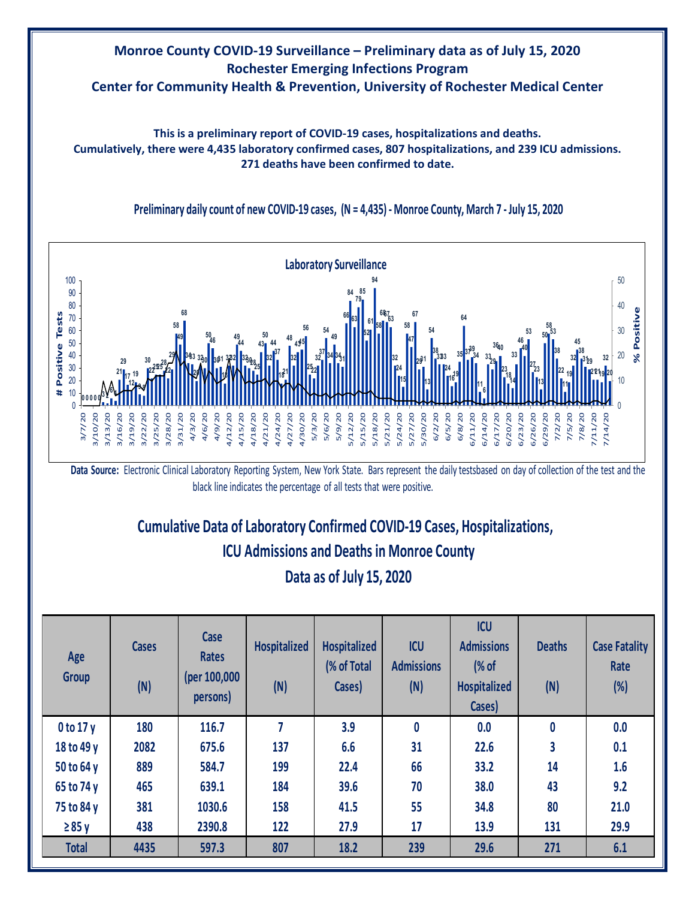

Data Source: Electronic Clinical Laboratory Reporting System, New York State. Bars represent the daily testsbased on day of collection of the test and the black line indicates the percentage of all tests that were positive.

 $5/12/20$ 5/15/20 5/18/20 5/21/20 5/24/20

**<sup>0</sup> <sup>0</sup> <sup>0</sup> <sup>0</sup> <sup>0</sup> <sup>3</sup> <sup>2</sup> <sup>6</sup> <sup>4</sup>**

 $/10/20$ 

 $1/13/20$ 3/16/20

**# Positive Tests**

 $\ddot{\phantom{1}}$ 

Positive Tests

3/7/20 3/10/20 3/13/20 3/16/20 3/19/20 3/22/20 3/25/20 3/28/20 3/31/20 4/3/20 4/6/20 4/9/20 4/12/20 4/15/20 4/18/20 4/21/20 4/24/20 4/27/20 4/30/20 5/3/20 5/6/20 5/9/20 5/12/20 5/15/20 5/18/20 5/21/20 5/24/20 5/27/20 5/30/20 6/2/20 6/5/20 6/8/20 6/11/20 6/14/20 6/17/20 6/20/20 6/23/20 6/26/20 6/29/20 7/2/20 7/5/20 7/8/20 7/11/20 7/14/20

> $/19/20$  $1/22/20$  $1/25/20$

**30**  $2^{225}$ **22 29**

**58 49**

1/28/20

 $1/31/20$ 

**68**

**3433 20 3230**

**5046**

**3031 18 3232 49 44 349<sub>8</sub> 43 50**

 $1/12/20$ 

**32 44 37**

1/18/20  $1/21/20$  $4/24/20$  $1/27/20$ 

 $1/15/20$ 

**1821**

 $4/30/20$ 

**34 49 3431**

**66**

**63 79**

**52 61** **58 687<br>--**63

> **32 24 15**

**58 47**

5/27/20 5/30/20

**67**

**2931 13**

**35**

**3739 34**

 $5/11/20$  $6/14/20$  $6/17/20$ 6/20/20  $5/23/20$ 6/26/20 6/29/20

**11 6**

**3329 3640**

> **23 1814**

> **2723 13**

**50 58 53 38 22 11 19 32 45 38 3129 212119 32 20**

0

 $1/11/20$ 

 $1/14/20$ 

10

20

30

**% Positive**

 $\aleph$ 

Positive

40

**64**

# **Cumulative Data of Laboratory Confirmed COVID-19 Cases, Hospitalizations, Data as of July 15, 2020 ICU Admissions and Deaths in Monroe County**

| Age<br><b>Group</b> | <b>Cases</b><br>(N) | Case<br><b>Rates</b><br>(per 100,000<br>persons) | <b>Hospitalized</b><br>(N) | Hospitalized<br>(% of Total<br>Cases) | <b>ICU</b><br><b>Admissions</b><br>(N) | <b>ICU</b><br><b>Admissions</b><br>$\frac{1}{2}$ of<br><b>Hospitalized</b><br>Cases) | <b>Deaths</b><br>(N) | <b>Case Fatality</b><br>Rate<br>$(\%)$ |
|---------------------|---------------------|--------------------------------------------------|----------------------------|---------------------------------------|----------------------------------------|--------------------------------------------------------------------------------------|----------------------|----------------------------------------|
| $0$ to 17 y         | 180                 | 116.7                                            | 7                          | 3.9                                   | 0                                      | 0.0                                                                                  | 0                    | 0.0                                    |
| 18 to 49 y          | 2082                | 675.6                                            | 137                        | 6.6                                   | 31                                     | 22.6                                                                                 | 3                    | 0.1                                    |
| 50 to 64 y          | 889                 | 584.7                                            | 199                        | 22.4                                  | 66                                     | 33.2                                                                                 | 14                   | 1.6                                    |
| 65 to 74 y          | 465                 | 639.1                                            | 184                        | 39.6                                  | 70                                     | 38.0                                                                                 | 43                   | 9.2                                    |
| 75 to 84 y          | 381                 | 1030.6                                           | 158                        | 41.5                                  | 55                                     | 34.8                                                                                 | 80                   | 21.0                                   |
| $\geq 85$ y         | 438                 | 2390.8                                           | 122                        | 27.9                                  | 17                                     | 13.9                                                                                 | 131                  | 29.9                                   |
| <b>Total</b>        | 4435                | 597.3                                            | 807                        | 18.2                                  | 239                                    | 29.6                                                                                 | 271                  | 6.1                                    |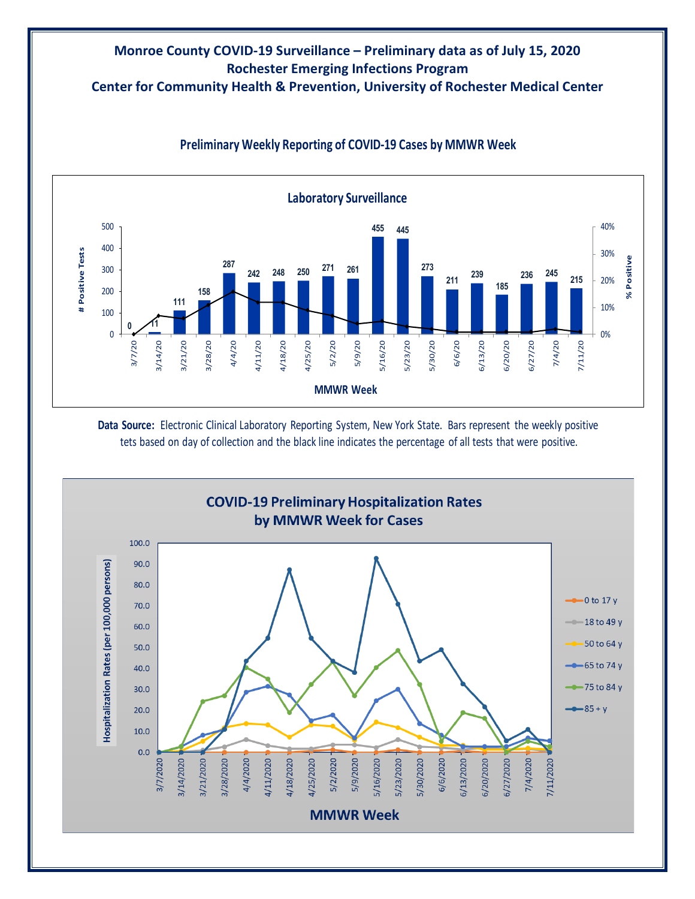# **Monroe County COVID-19 Surveillance – Preliminary data as of July 15, 2020 Rochester Emerging Infections Program**

**Center for Community Health & Prevention, University of Rochester Medical Center**



### **Preliminary Weekly Reporting of COVID-19 Cases by MMWR Week**

**Data Source:** Electronic Clinical Laboratory Reporting System, New York State. Bars represent the weekly positive tets based on day of collection and the black line indicates the percentage of all tests that were positive.

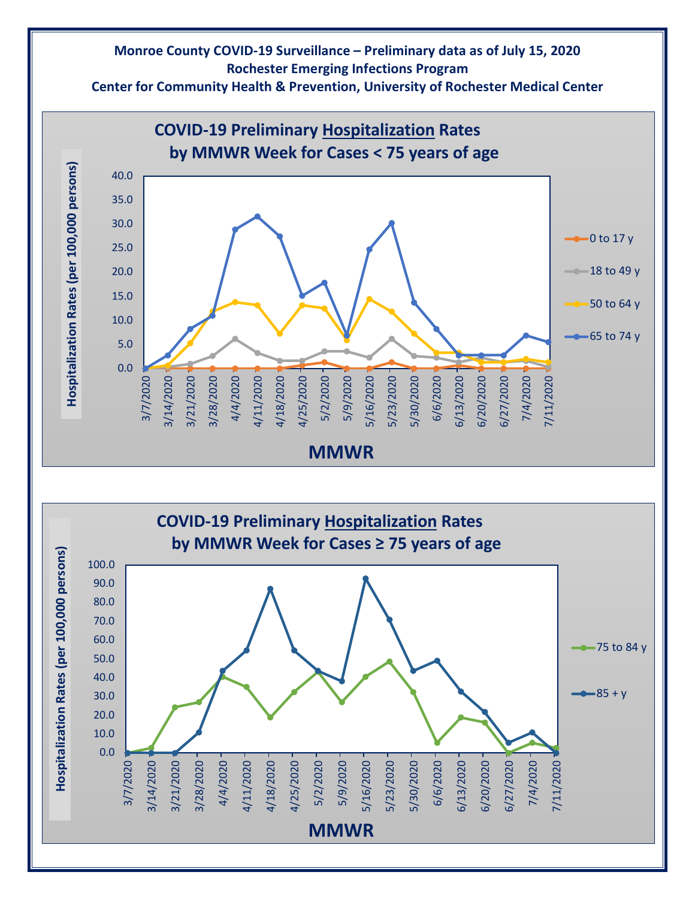## **Monroe County COVID-19 Surveillance – Preliminary data as of July 15, 2020 Rochester Emerging Infections Program**

**Center for Community Health & Prevention, University of Rochester Medical Center**



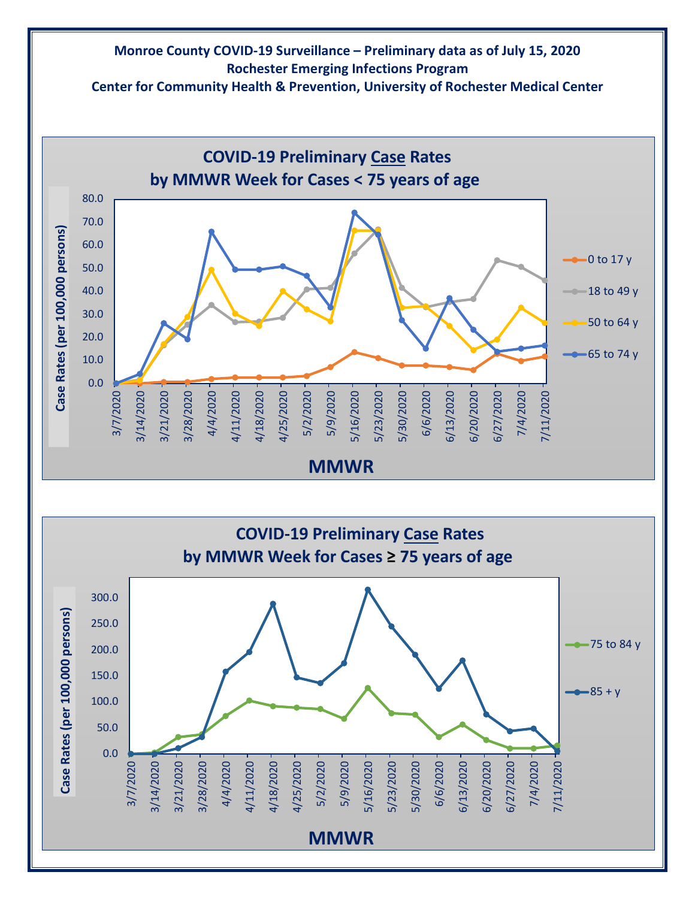